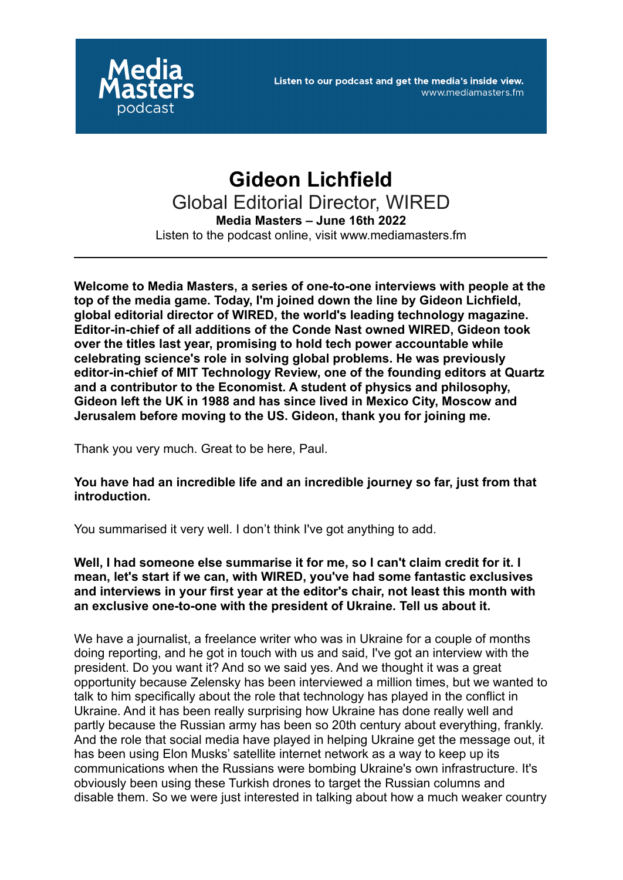

# **Gideon Lichfield** Global Editorial Director, WIRED **Media Masters – June 16th 2022** Listen to the podcast online, visit www.mediamasters.fm

**Welcome to Media Masters, a series of one-to-one interviews with people at the top of the media game. Today, I'm joined down the line by Gideon Lichfield, global editorial director of WIRED, the world's leading technology magazine. Editor-in-chief of all additions of the Conde Nast owned WIRED, Gideon took over the titles last year, promising to hold tech power accountable while celebrating science's role in solving global problems. He was previously editor-in-chief of MIT Technology Review, one of the founding editors at Quartz and a contributor to the Economist. A student of physics and philosophy, Gideon left the UK in 1988 and has since lived in Mexico City, Moscow and Jerusalem before moving to the US. Gideon, thank you for joining me.**

Thank you very much. Great to be here, Paul.

**You have had an incredible life and an incredible journey so far, just from that introduction.**

You summarised it very well. I don't think I've got anything to add.

**Well, I had someone else summarise it for me, so I can't claim credit for it. I mean, let's start if we can, with WIRED, you've had some fantastic exclusives and interviews in your first year at the editor's chair, not least this month with an exclusive one-to-one with the president of Ukraine. Tell us about it.**

We have a journalist, a freelance writer who was in Ukraine for a couple of months doing reporting, and he got in touch with us and said, I've got an interview with the president. Do you want it? And so we said yes. And we thought it was a great opportunity because Zelensky has been interviewed a million times, but we wanted to talk to him specifically about the role that technology has played in the conflict in Ukraine. And it has been really surprising how Ukraine has done really well and partly because the Russian army has been so 20th century about everything, frankly. And the role that social media have played in helping Ukraine get the message out, it has been using Elon Musks' satellite internet network as a way to keep up its communications when the Russians were bombing Ukraine's own infrastructure. It's obviously been using these Turkish drones to target the Russian columns and disable them. So we were just interested in talking about how a much weaker country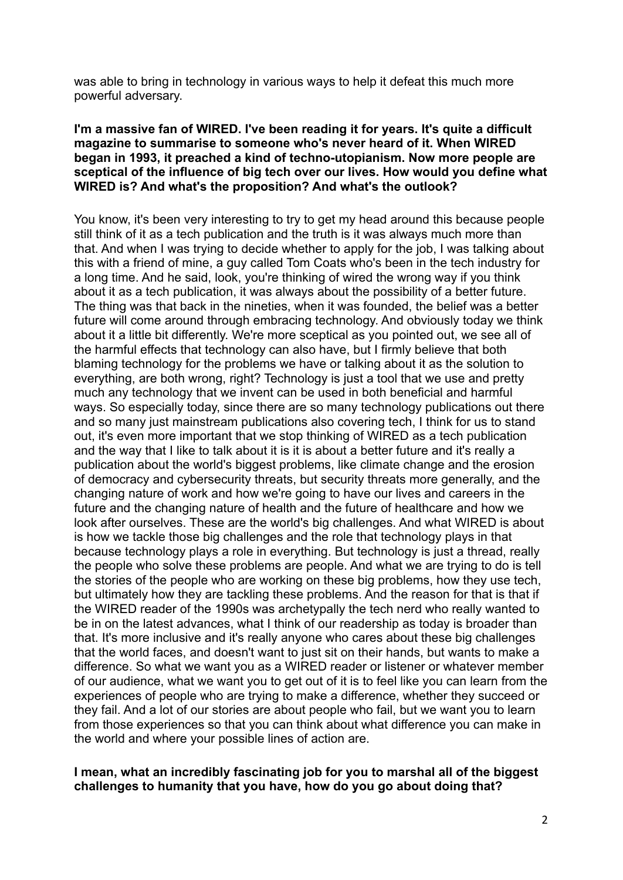was able to bring in technology in various ways to help it defeat this much more powerful adversary.

# **I'm a massive fan of WIRED. I've been reading it for years. It's quite a difficult magazine to summarise to someone who's never heard of it. When WIRED began in 1993, it preached a kind of techno-utopianism. Now more people are sceptical of the influence of big tech over our lives. How would you define what WIRED is? And what's the proposition? And what's the outlook?**

You know, it's been very interesting to try to get my head around this because people still think of it as a tech publication and the truth is it was always much more than that. And when I was trying to decide whether to apply for the job, I was talking about this with a friend of mine, a guy called Tom Coats who's been in the tech industry for a long time. And he said, look, you're thinking of wired the wrong way if you think about it as a tech publication, it was always about the possibility of a better future. The thing was that back in the nineties, when it was founded, the belief was a better future will come around through embracing technology. And obviously today we think about it a little bit differently. We're more sceptical as you pointed out, we see all of the harmful effects that technology can also have, but I firmly believe that both blaming technology for the problems we have or talking about it as the solution to everything, are both wrong, right? Technology is just a tool that we use and pretty much any technology that we invent can be used in both beneficial and harmful ways. So especially today, since there are so many technology publications out there and so many just mainstream publications also covering tech, I think for us to stand out, it's even more important that we stop thinking of WIRED as a tech publication and the way that I like to talk about it is it is about a better future and it's really a publication about the world's biggest problems, like climate change and the erosion of democracy and cybersecurity threats, but security threats more generally, and the changing nature of work and how we're going to have our lives and careers in the future and the changing nature of health and the future of healthcare and how we look after ourselves. These are the world's big challenges. And what WIRED is about is how we tackle those big challenges and the role that technology plays in that because technology plays a role in everything. But technology is just a thread, really the people who solve these problems are people. And what we are trying to do is tell the stories of the people who are working on these big problems, how they use tech, but ultimately how they are tackling these problems. And the reason for that is that if the WIRED reader of the 1990s was archetypally the tech nerd who really wanted to be in on the latest advances, what I think of our readership as today is broader than that. It's more inclusive and it's really anyone who cares about these big challenges that the world faces, and doesn't want to just sit on their hands, but wants to make a difference. So what we want you as a WIRED reader or listener or whatever member of our audience, what we want you to get out of it is to feel like you can learn from the experiences of people who are trying to make a difference, whether they succeed or they fail. And a lot of our stories are about people who fail, but we want you to learn from those experiences so that you can think about what difference you can make in the world and where your possible lines of action are.

## **I mean, what an incredibly fascinating job for you to marshal all of the biggest challenges to humanity that you have, how do you go about doing that?**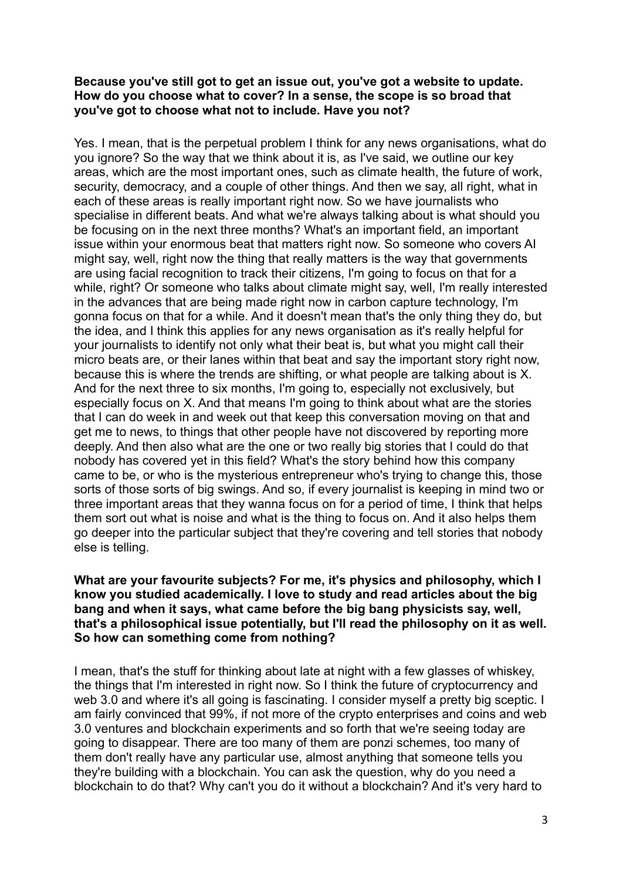### **Because you've still got to get an issue out, you've got a website to update. How do you choose what to cover? In a sense, the scope is so broad that you've got to choose what not to include. Have you not?**

Yes. I mean, that is the perpetual problem I think for any news organisations, what do you ignore? So the way that we think about it is, as I've said, we outline our key areas, which are the most important ones, such as climate health, the future of work, security, democracy, and a couple of other things. And then we say, all right, what in each of these areas is really important right now. So we have journalists who specialise in different beats. And what we're always talking about is what should you be focusing on in the next three months? What's an important field, an important issue within your enormous beat that matters right now. So someone who covers AI might say, well, right now the thing that really matters is the way that governments are using facial recognition to track their citizens, I'm going to focus on that for a while, right? Or someone who talks about climate might say, well, I'm really interested in the advances that are being made right now in carbon capture technology, I'm gonna focus on that for a while. And it doesn't mean that's the only thing they do, but the idea, and I think this applies for any news organisation as it's really helpful for your journalists to identify not only what their beat is, but what you might call their micro beats are, or their lanes within that beat and say the important story right now, because this is where the trends are shifting, or what people are talking about is X. And for the next three to six months, I'm going to, especially not exclusively, but especially focus on X. And that means I'm going to think about what are the stories that I can do week in and week out that keep this conversation moving on that and get me to news, to things that other people have not discovered by reporting more deeply. And then also what are the one or two really big stories that I could do that nobody has covered yet in this field? What's the story behind how this company came to be, or who is the mysterious entrepreneur who's trying to change this, those sorts of those sorts of big swings. And so, if every journalist is keeping in mind two or three important areas that they wanna focus on for a period of time, I think that helps them sort out what is noise and what is the thing to focus on. And it also helps them go deeper into the particular subject that they're covering and tell stories that nobody else is telling.

# **What are your favourite subjects? For me, it's physics and philosophy, which I know you studied academically. I love to study and read articles about the big bang and when it says, what came before the big bang physicists say, well, that's a philosophical issue potentially, but I'll read the philosophy on it as well. So how can something come from nothing?**

I mean, that's the stuff for thinking about late at night with a few glasses of whiskey, the things that I'm interested in right now. So I think the future of cryptocurrency and web 3.0 and where it's all going is fascinating. I consider myself a pretty big sceptic. I am fairly convinced that 99%, if not more of the crypto enterprises and coins and web 3.0 ventures and blockchain experiments and so forth that we're seeing today are going to disappear. There are too many of them are ponzi schemes, too many of them don't really have any particular use, almost anything that someone tells you they're building with a blockchain. You can ask the question, why do you need a blockchain to do that? Why can't you do it without a blockchain? And it's very hard to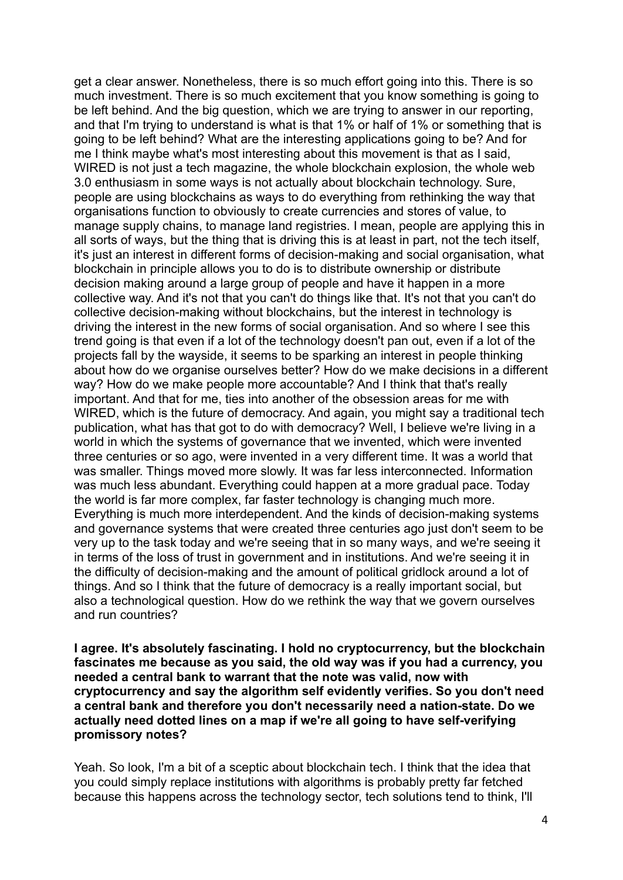get a clear answer. Nonetheless, there is so much effort going into this. There is so much investment. There is so much excitement that you know something is going to be left behind. And the big question, which we are trying to answer in our reporting, and that I'm trying to understand is what is that 1% or half of 1% or something that is going to be left behind? What are the interesting applications going to be? And for me I think maybe what's most interesting about this movement is that as I said, WIRED is not just a tech magazine, the whole blockchain explosion, the whole web 3.0 enthusiasm in some ways is not actually about blockchain technology. Sure, people are using blockchains as ways to do everything from rethinking the way that organisations function to obviously to create currencies and stores of value, to manage supply chains, to manage land registries. I mean, people are applying this in all sorts of ways, but the thing that is driving this is at least in part, not the tech itself, it's just an interest in different forms of decision-making and social organisation, what blockchain in principle allows you to do is to distribute ownership or distribute decision making around a large group of people and have it happen in a more collective way. And it's not that you can't do things like that. It's not that you can't do collective decision-making without blockchains, but the interest in technology is driving the interest in the new forms of social organisation. And so where I see this trend going is that even if a lot of the technology doesn't pan out, even if a lot of the projects fall by the wayside, it seems to be sparking an interest in people thinking about how do we organise ourselves better? How do we make decisions in a different way? How do we make people more accountable? And I think that that's really important. And that for me, ties into another of the obsession areas for me with WIRED, which is the future of democracy. And again, you might say a traditional tech publication, what has that got to do with democracy? Well, I believe we're living in a world in which the systems of governance that we invented, which were invented three centuries or so ago, were invented in a very different time. It was a world that was smaller. Things moved more slowly. It was far less interconnected. Information was much less abundant. Everything could happen at a more gradual pace. Today the world is far more complex, far faster technology is changing much more. Everything is much more interdependent. And the kinds of decision-making systems and governance systems that were created three centuries ago just don't seem to be very up to the task today and we're seeing that in so many ways, and we're seeing it in terms of the loss of trust in government and in institutions. And we're seeing it in the difficulty of decision-making and the amount of political gridlock around a lot of things. And so I think that the future of democracy is a really important social, but also a technological question. How do we rethink the way that we govern ourselves and run countries?

**I agree. It's absolutely fascinating. I hold no cryptocurrency, but the blockchain fascinates me because as you said, the old way was if you had a currency, you needed a central bank to warrant that the note was valid, now with cryptocurrency and say the algorithm self evidently verifies. So you don't need a central bank and therefore you don't necessarily need a nation-state. Do we actually need dotted lines on a map if we're all going to have self-verifying promissory notes?**

Yeah. So look, I'm a bit of a sceptic about blockchain tech. I think that the idea that you could simply replace institutions with algorithms is probably pretty far fetched because this happens across the technology sector, tech solutions tend to think, I'll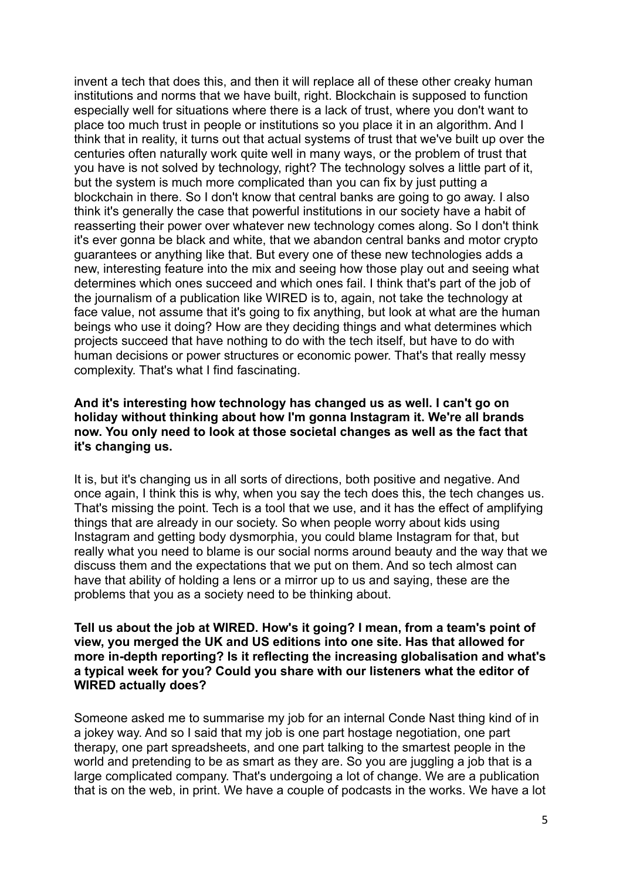invent a tech that does this, and then it will replace all of these other creaky human institutions and norms that we have built, right. Blockchain is supposed to function especially well for situations where there is a lack of trust, where you don't want to place too much trust in people or institutions so you place it in an algorithm. And I think that in reality, it turns out that actual systems of trust that we've built up over the centuries often naturally work quite well in many ways, or the problem of trust that you have is not solved by technology, right? The technology solves a little part of it, but the system is much more complicated than you can fix by just putting a blockchain in there. So I don't know that central banks are going to go away. I also think it's generally the case that powerful institutions in our society have a habit of reasserting their power over whatever new technology comes along. So I don't think it's ever gonna be black and white, that we abandon central banks and motor crypto guarantees or anything like that. But every one of these new technologies adds a new, interesting feature into the mix and seeing how those play out and seeing what determines which ones succeed and which ones fail. I think that's part of the job of the journalism of a publication like WIRED is to, again, not take the technology at face value, not assume that it's going to fix anything, but look at what are the human beings who use it doing? How are they deciding things and what determines which projects succeed that have nothing to do with the tech itself, but have to do with human decisions or power structures or economic power. That's that really messy complexity. That's what I find fascinating.

# **And it's interesting how technology has changed us as well. I can't go on holiday without thinking about how I'm gonna Instagram it. We're all brands now. You only need to look at those societal changes as well as the fact that it's changing us.**

It is, but it's changing us in all sorts of directions, both positive and negative. And once again, I think this is why, when you say the tech does this, the tech changes us. That's missing the point. Tech is a tool that we use, and it has the effect of amplifying things that are already in our society. So when people worry about kids using Instagram and getting body dysmorphia, you could blame Instagram for that, but really what you need to blame is our social norms around beauty and the way that we discuss them and the expectations that we put on them. And so tech almost can have that ability of holding a lens or a mirror up to us and saying, these are the problems that you as a society need to be thinking about.

# **Tell us about the job at WIRED. How's it going? I mean, from a team's point of view, you merged the UK and US editions into one site. Has that allowed for more in-depth reporting? Is it reflecting the increasing globalisation and what's a typical week for you? Could you share with our listeners what the editor of WIRED actually does?**

Someone asked me to summarise my job for an internal Conde Nast thing kind of in a jokey way. And so I said that my job is one part hostage negotiation, one part therapy, one part spreadsheets, and one part talking to the smartest people in the world and pretending to be as smart as they are. So you are juggling a job that is a large complicated company. That's undergoing a lot of change. We are a publication that is on the web, in print. We have a couple of podcasts in the works. We have a lot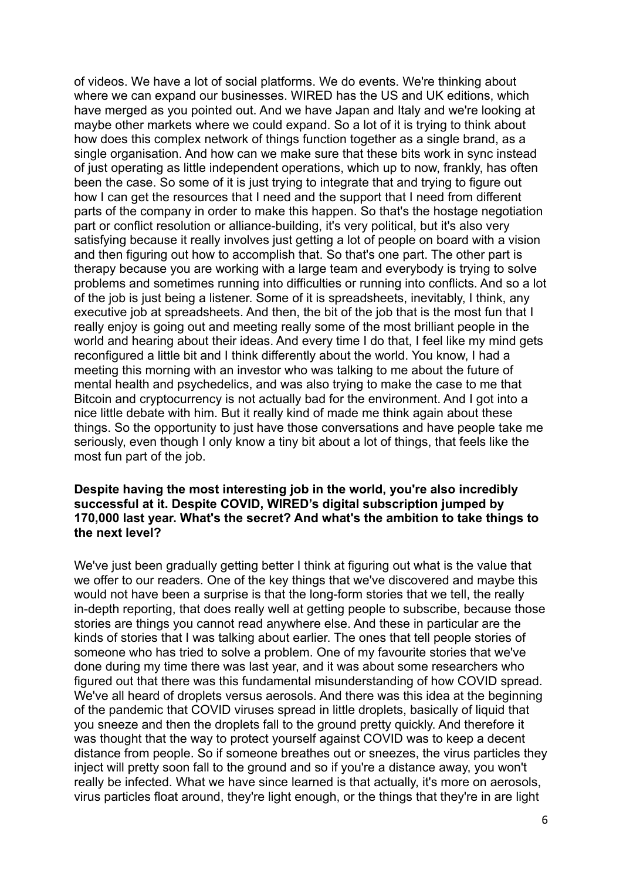of videos. We have a lot of social platforms. We do events. We're thinking about where we can expand our businesses. WIRED has the US and UK editions, which have merged as you pointed out. And we have Japan and Italy and we're looking at maybe other markets where we could expand. So a lot of it is trying to think about how does this complex network of things function together as a single brand, as a single organisation. And how can we make sure that these bits work in sync instead of just operating as little independent operations, which up to now, frankly, has often been the case. So some of it is just trying to integrate that and trying to figure out how I can get the resources that I need and the support that I need from different parts of the company in order to make this happen. So that's the hostage negotiation part or conflict resolution or alliance-building, it's very political, but it's also very satisfying because it really involves just getting a lot of people on board with a vision and then figuring out how to accomplish that. So that's one part. The other part is therapy because you are working with a large team and everybody is trying to solve problems and sometimes running into difficulties or running into conflicts. And so a lot of the job is just being a listener. Some of it is spreadsheets, inevitably, I think, any executive job at spreadsheets. And then, the bit of the job that is the most fun that I really enjoy is going out and meeting really some of the most brilliant people in the world and hearing about their ideas. And every time I do that, I feel like my mind gets reconfigured a little bit and I think differently about the world. You know, I had a meeting this morning with an investor who was talking to me about the future of mental health and psychedelics, and was also trying to make the case to me that Bitcoin and cryptocurrency is not actually bad for the environment. And I got into a nice little debate with him. But it really kind of made me think again about these things. So the opportunity to just have those conversations and have people take me seriously, even though I only know a tiny bit about a lot of things, that feels like the most fun part of the job.

## **Despite having the most interesting job in the world, you're also incredibly successful at it. Despite COVID, WIRED's digital subscription jumped by 170,000 last year. What's the secret? And what's the ambition to take things to the next level?**

We've just been gradually getting better I think at figuring out what is the value that we offer to our readers. One of the key things that we've discovered and maybe this would not have been a surprise is that the long-form stories that we tell, the really in-depth reporting, that does really well at getting people to subscribe, because those stories are things you cannot read anywhere else. And these in particular are the kinds of stories that I was talking about earlier. The ones that tell people stories of someone who has tried to solve a problem. One of my favourite stories that we've done during my time there was last year, and it was about some researchers who figured out that there was this fundamental misunderstanding of how COVID spread. We've all heard of droplets versus aerosols. And there was this idea at the beginning of the pandemic that COVID viruses spread in little droplets, basically of liquid that you sneeze and then the droplets fall to the ground pretty quickly. And therefore it was thought that the way to protect yourself against COVID was to keep a decent distance from people. So if someone breathes out or sneezes, the virus particles they inject will pretty soon fall to the ground and so if you're a distance away, you won't really be infected. What we have since learned is that actually, it's more on aerosols, virus particles float around, they're light enough, or the things that they're in are light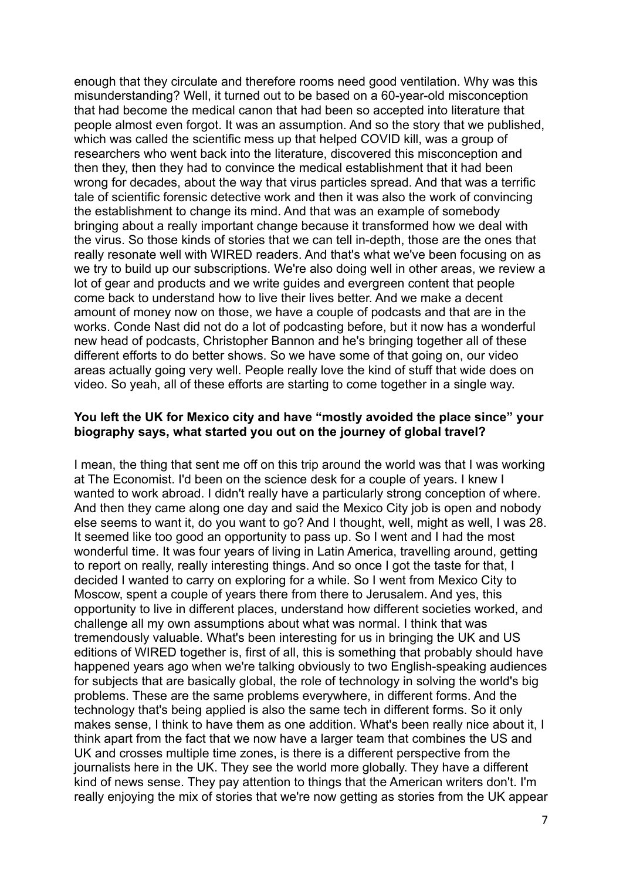enough that they circulate and therefore rooms need good ventilation. Why was this misunderstanding? Well, it turned out to be based on a 60-year-old misconception that had become the medical canon that had been so accepted into literature that people almost even forgot. It was an assumption. And so the story that we published, which was called the scientific mess up that helped COVID kill, was a group of researchers who went back into the literature, discovered this misconception and then they, then they had to convince the medical establishment that it had been wrong for decades, about the way that virus particles spread. And that was a terrific tale of scientific forensic detective work and then it was also the work of convincing the establishment to change its mind. And that was an example of somebody bringing about a really important change because it transformed how we deal with the virus. So those kinds of stories that we can tell in-depth, those are the ones that really resonate well with WIRED readers. And that's what we've been focusing on as we try to build up our subscriptions. We're also doing well in other areas, we review a lot of gear and products and we write guides and evergreen content that people come back to understand how to live their lives better. And we make a decent amount of money now on those, we have a couple of podcasts and that are in the works. Conde Nast did not do a lot of podcasting before, but it now has a wonderful new head of podcasts, Christopher Bannon and he's bringing together all of these different efforts to do better shows. So we have some of that going on, our video areas actually going very well. People really love the kind of stuff that wide does on video. So yeah, all of these efforts are starting to come together in a single way.

# **You left the UK for Mexico city and have "mostly avoided the place since" your biography says, what started you out on the journey of global travel?**

I mean, the thing that sent me off on this trip around the world was that I was working at The Economist. I'd been on the science desk for a couple of years. I knew I wanted to work abroad. I didn't really have a particularly strong conception of where. And then they came along one day and said the Mexico City job is open and nobody else seems to want it, do you want to go? And I thought, well, might as well, I was 28. It seemed like too good an opportunity to pass up. So I went and I had the most wonderful time. It was four years of living in Latin America, travelling around, getting to report on really, really interesting things. And so once I got the taste for that, I decided I wanted to carry on exploring for a while. So I went from Mexico City to Moscow, spent a couple of years there from there to Jerusalem. And yes, this opportunity to live in different places, understand how different societies worked, and challenge all my own assumptions about what was normal. I think that was tremendously valuable. What's been interesting for us in bringing the UK and US editions of WIRED together is, first of all, this is something that probably should have happened years ago when we're talking obviously to two English-speaking audiences for subjects that are basically global, the role of technology in solving the world's big problems. These are the same problems everywhere, in different forms. And the technology that's being applied is also the same tech in different forms. So it only makes sense, I think to have them as one addition. What's been really nice about it, I think apart from the fact that we now have a larger team that combines the US and UK and crosses multiple time zones, is there is a different perspective from the journalists here in the UK. They see the world more globally. They have a different kind of news sense. They pay attention to things that the American writers don't. I'm really enjoying the mix of stories that we're now getting as stories from the UK appear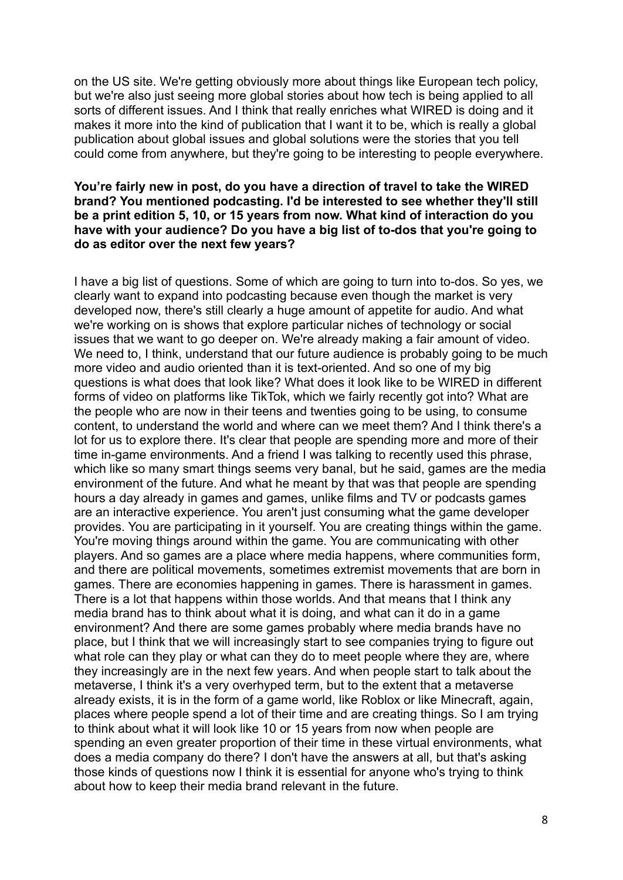on the US site. We're getting obviously more about things like European tech policy, but we're also just seeing more global stories about how tech is being applied to all sorts of different issues. And I think that really enriches what WIRED is doing and it makes it more into the kind of publication that I want it to be, which is really a global publication about global issues and global solutions were the stories that you tell could come from anywhere, but they're going to be interesting to people everywhere.

## **You're fairly new in post, do you have a direction of travel to take the WIRED brand? You mentioned podcasting. I'd be interested to see whether they'll still be a print edition 5, 10, or 15 years from now. What kind of interaction do you have with your audience? Do you have a big list of to-dos that you're going to do as editor over the next few years?**

I have a big list of questions. Some of which are going to turn into to-dos. So yes, we clearly want to expand into podcasting because even though the market is very developed now, there's still clearly a huge amount of appetite for audio. And what we're working on is shows that explore particular niches of technology or social issues that we want to go deeper on. We're already making a fair amount of video. We need to, I think, understand that our future audience is probably going to be much more video and audio oriented than it is text-oriented. And so one of my big questions is what does that look like? What does it look like to be WIRED in different forms of video on platforms like TikTok, which we fairly recently got into? What are the people who are now in their teens and twenties going to be using, to consume content, to understand the world and where can we meet them? And I think there's a lot for us to explore there. It's clear that people are spending more and more of their time in-game environments. And a friend I was talking to recently used this phrase, which like so many smart things seems very banal, but he said, games are the media environment of the future. And what he meant by that was that people are spending hours a day already in games and games, unlike films and TV or podcasts games are an interactive experience. You aren't just consuming what the game developer provides. You are participating in it yourself. You are creating things within the game. You're moving things around within the game. You are communicating with other players. And so games are a place where media happens, where communities form, and there are political movements, sometimes extremist movements that are born in games. There are economies happening in games. There is harassment in games. There is a lot that happens within those worlds. And that means that I think any media brand has to think about what it is doing, and what can it do in a game environment? And there are some games probably where media brands have no place, but I think that we will increasingly start to see companies trying to figure out what role can they play or what can they do to meet people where they are, where they increasingly are in the next few years. And when people start to talk about the metaverse, I think it's a very overhyped term, but to the extent that a metaverse already exists, it is in the form of a game world, like Roblox or like Minecraft, again, places where people spend a lot of their time and are creating things. So I am trying to think about what it will look like 10 or 15 years from now when people are spending an even greater proportion of their time in these virtual environments, what does a media company do there? I don't have the answers at all, but that's asking those kinds of questions now I think it is essential for anyone who's trying to think about how to keep their media brand relevant in the future.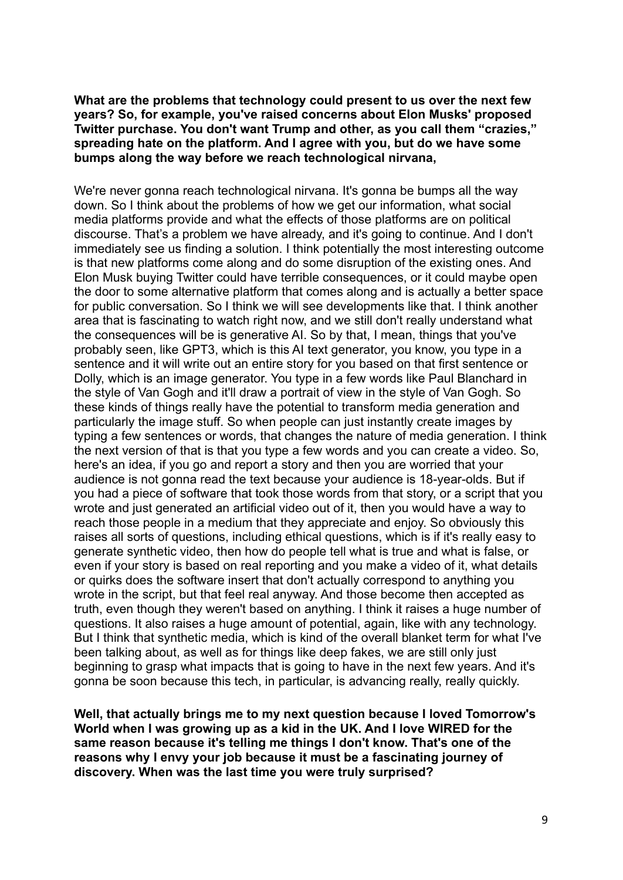**What are the problems that technology could present to us over the next few years? So, for example, you've raised concerns about Elon Musks' proposed Twitter purchase. You don't want Trump and other, as you call them "crazies," spreading hate on the platform. And I agree with you, but do we have some bumps along the way before we reach technological nirvana,**

We're never gonna reach technological nirvana. It's gonna be bumps all the way down. So I think about the problems of how we get our information, what social media platforms provide and what the effects of those platforms are on political discourse. That's a problem we have already, and it's going to continue. And I don't immediately see us finding a solution. I think potentially the most interesting outcome is that new platforms come along and do some disruption of the existing ones. And Elon Musk buying Twitter could have terrible consequences, or it could maybe open the door to some alternative platform that comes along and is actually a better space for public conversation. So I think we will see developments like that. I think another area that is fascinating to watch right now, and we still don't really understand what the consequences will be is generative AI. So by that, I mean, things that you've probably seen, like GPT3, which is this AI text generator, you know, you type in a sentence and it will write out an entire story for you based on that first sentence or Dolly, which is an image generator. You type in a few words like Paul Blanchard in the style of Van Gogh and it'll draw a portrait of view in the style of Van Gogh. So these kinds of things really have the potential to transform media generation and particularly the image stuff. So when people can just instantly create images by typing a few sentences or words, that changes the nature of media generation. I think the next version of that is that you type a few words and you can create a video. So, here's an idea, if you go and report a story and then you are worried that your audience is not gonna read the text because your audience is 18-year-olds. But if you had a piece of software that took those words from that story, or a script that you wrote and just generated an artificial video out of it, then you would have a way to reach those people in a medium that they appreciate and enjoy. So obviously this raises all sorts of questions, including ethical questions, which is if it's really easy to generate synthetic video, then how do people tell what is true and what is false, or even if your story is based on real reporting and you make a video of it, what details or quirks does the software insert that don't actually correspond to anything you wrote in the script, but that feel real anyway. And those become then accepted as truth, even though they weren't based on anything. I think it raises a huge number of questions. It also raises a huge amount of potential, again, like with any technology. But I think that synthetic media, which is kind of the overall blanket term for what I've been talking about, as well as for things like deep fakes, we are still only just beginning to grasp what impacts that is going to have in the next few years. And it's gonna be soon because this tech, in particular, is advancing really, really quickly.

**Well, that actually brings me to my next question because I loved Tomorrow's World when I was growing up as a kid in the UK. And I love WIRED for the same reason because it's telling me things I don't know. That's one of the reasons why I envy your job because it must be a fascinating journey of discovery. When was the last time you were truly surprised?**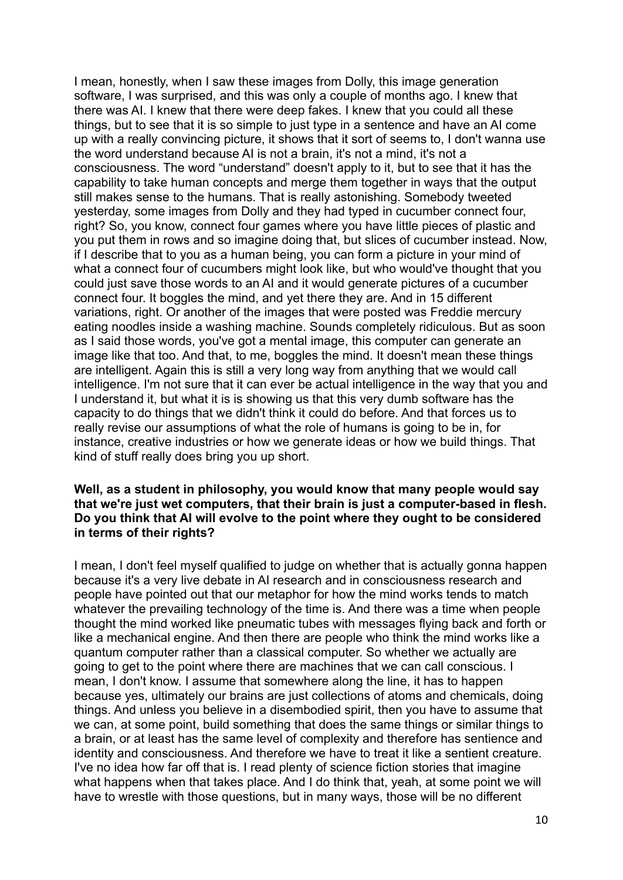I mean, honestly, when I saw these images from Dolly, this image generation software, I was surprised, and this was only a couple of months ago. I knew that there was AI. I knew that there were deep fakes. I knew that you could all these things, but to see that it is so simple to just type in a sentence and have an AI come up with a really convincing picture, it shows that it sort of seems to, I don't wanna use the word understand because AI is not a brain, it's not a mind, it's not a consciousness. The word "understand" doesn't apply to it, but to see that it has the capability to take human concepts and merge them together in ways that the output still makes sense to the humans. That is really astonishing. Somebody tweeted yesterday, some images from Dolly and they had typed in cucumber connect four, right? So, you know, connect four games where you have little pieces of plastic and you put them in rows and so imagine doing that, but slices of cucumber instead. Now, if I describe that to you as a human being, you can form a picture in your mind of what a connect four of cucumbers might look like, but who would've thought that you could just save those words to an AI and it would generate pictures of a cucumber connect four. It boggles the mind, and yet there they are. And in 15 different variations, right. Or another of the images that were posted was Freddie mercury eating noodles inside a washing machine. Sounds completely ridiculous. But as soon as I said those words, you've got a mental image, this computer can generate an image like that too. And that, to me, boggles the mind. It doesn't mean these things are intelligent. Again this is still a very long way from anything that we would call intelligence. I'm not sure that it can ever be actual intelligence in the way that you and I understand it, but what it is is showing us that this very dumb software has the capacity to do things that we didn't think it could do before. And that forces us to really revise our assumptions of what the role of humans is going to be in, for instance, creative industries or how we generate ideas or how we build things. That kind of stuff really does bring you up short.

#### **Well, as a student in philosophy, you would know that many people would say that we're just wet computers, that their brain is just a computer-based in flesh. Do you think that AI will evolve to the point where they ought to be considered in terms of their rights?**

I mean, I don't feel myself qualified to judge on whether that is actually gonna happen because it's a very live debate in AI research and in consciousness research and people have pointed out that our metaphor for how the mind works tends to match whatever the prevailing technology of the time is. And there was a time when people thought the mind worked like pneumatic tubes with messages flying back and forth or like a mechanical engine. And then there are people who think the mind works like a quantum computer rather than a classical computer. So whether we actually are going to get to the point where there are machines that we can call conscious. I mean, I don't know. I assume that somewhere along the line, it has to happen because yes, ultimately our brains are just collections of atoms and chemicals, doing things. And unless you believe in a disembodied spirit, then you have to assume that we can, at some point, build something that does the same things or similar things to a brain, or at least has the same level of complexity and therefore has sentience and identity and consciousness. And therefore we have to treat it like a sentient creature. I've no idea how far off that is. I read plenty of science fiction stories that imagine what happens when that takes place. And I do think that, yeah, at some point we will have to wrestle with those questions, but in many ways, those will be no different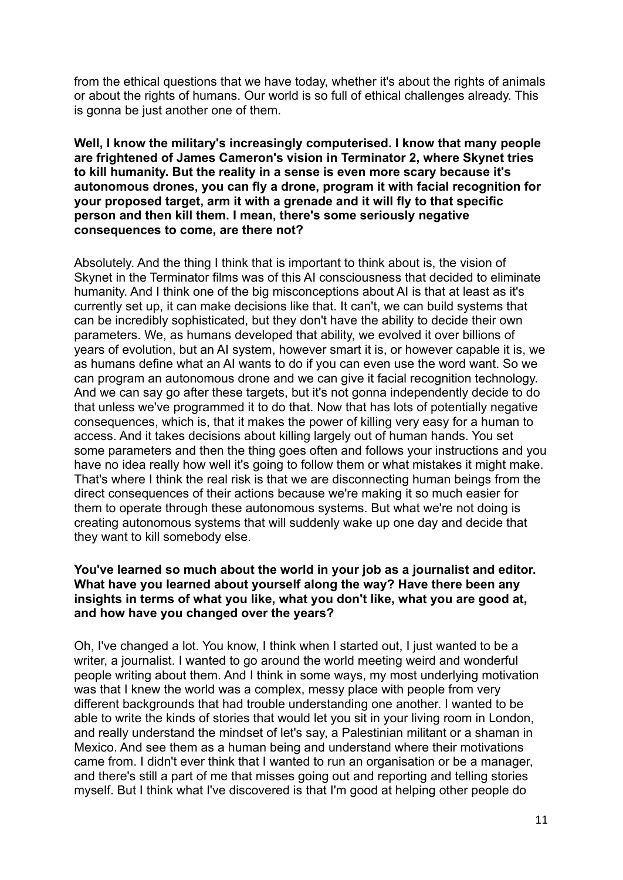from the ethical questions that we have today, whether it's about the rights of animals or about the rights of humans. Our world is so full of ethical challenges already. This is gonna be just another one of them.

# **Well, I know the military's increasingly computerised. I know that many people are frightened of James Cameron's vision in Terminator 2, where Skynet tries to kill humanity. But the reality in a sense is even more scary because it's autonomous drones, you can fly a drone, program it with facial recognition for your proposed target, arm it with a grenade and it will fly to that specific person and then kill them. I mean, there's some seriously negative consequences to come, are there not?**

Absolutely. And the thing I think that is important to think about is, the vision of Skynet in the Terminator films was of this AI consciousness that decided to eliminate humanity. And I think one of the big misconceptions about AI is that at least as it's currently set up, it can make decisions like that. It can't, we can build systems that can be incredibly sophisticated, but they don't have the ability to decide their own parameters. We, as humans developed that ability, we evolved it over billions of years of evolution, but an AI system, however smart it is, or however capable it is, we as humans define what an AI wants to do if you can even use the word want. So we can program an autonomous drone and we can give it facial recognition technology. And we can say go after these targets, but it's not gonna independently decide to do that unless we've programmed it to do that. Now that has lots of potentially negative consequences, which is, that it makes the power of killing very easy for a human to access. And it takes decisions about killing largely out of human hands. You set some parameters and then the thing goes often and follows your instructions and you have no idea really how well it's going to follow them or what mistakes it might make. That's where I think the real risk is that we are disconnecting human beings from the direct consequences of their actions because we're making it so much easier for them to operate through these autonomous systems. But what we're not doing is creating autonomous systems that will suddenly wake up one day and decide that they want to kill somebody else.

# **You've learned so much about the world in your job as a journalist and editor. What have you learned about yourself along the way? Have there been any insights in terms of what you like, what you don't like, what you are good at, and how have you changed over the years?**

Oh, I've changed a lot. You know, I think when I started out, I just wanted to be a writer, a journalist. I wanted to go around the world meeting weird and wonderful people writing about them. And I think in some ways, my most underlying motivation was that I knew the world was a complex, messy place with people from very different backgrounds that had trouble understanding one another. I wanted to be able to write the kinds of stories that would let you sit in your living room in London, and really understand the mindset of let's say, a Palestinian militant or a shaman in Mexico. And see them as a human being and understand where their motivations came from. I didn't ever think that I wanted to run an organisation or be a manager, and there's still a part of me that misses going out and reporting and telling stories myself. But I think what I've discovered is that I'm good at helping other people do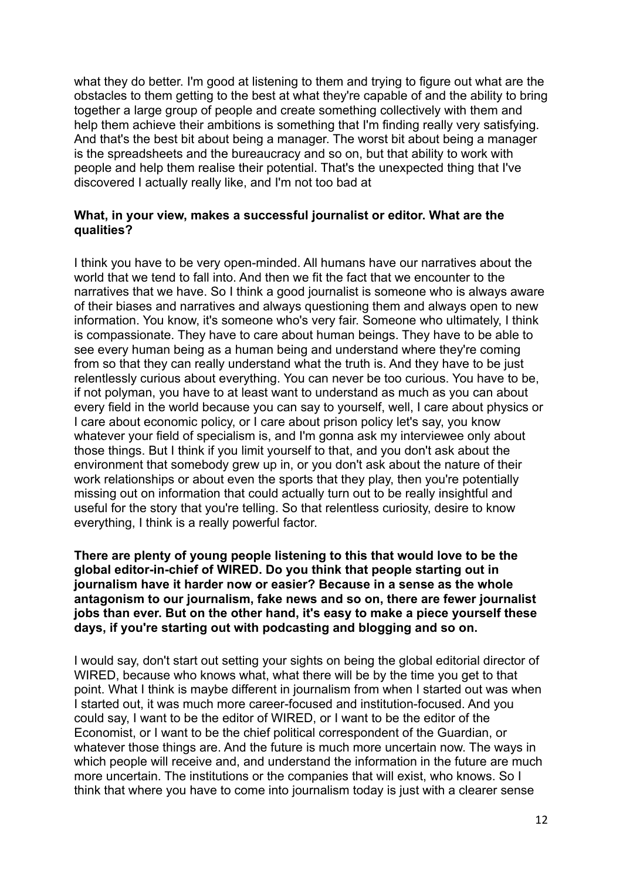what they do better. I'm good at listening to them and trying to figure out what are the obstacles to them getting to the best at what they're capable of and the ability to bring together a large group of people and create something collectively with them and help them achieve their ambitions is something that I'm finding really very satisfying. And that's the best bit about being a manager. The worst bit about being a manager is the spreadsheets and the bureaucracy and so on, but that ability to work with people and help them realise their potential. That's the unexpected thing that I've discovered I actually really like, and I'm not too bad at

# **What, in your view, makes a successful journalist or editor. What are the qualities?**

I think you have to be very open-minded. All humans have our narratives about the world that we tend to fall into. And then we fit the fact that we encounter to the narratives that we have. So I think a good journalist is someone who is always aware of their biases and narratives and always questioning them and always open to new information. You know, it's someone who's very fair. Someone who ultimately, I think is compassionate. They have to care about human beings. They have to be able to see every human being as a human being and understand where they're coming from so that they can really understand what the truth is. And they have to be just relentlessly curious about everything. You can never be too curious. You have to be, if not polyman, you have to at least want to understand as much as you can about every field in the world because you can say to yourself, well, I care about physics or I care about economic policy, or I care about prison policy let's say, you know whatever your field of specialism is, and I'm gonna ask my interviewee only about those things. But I think if you limit yourself to that, and you don't ask about the environment that somebody grew up in, or you don't ask about the nature of their work relationships or about even the sports that they play, then you're potentially missing out on information that could actually turn out to be really insightful and useful for the story that you're telling. So that relentless curiosity, desire to know everything, I think is a really powerful factor.

# **There are plenty of young people listening to this that would love to be the global editor-in-chief of WIRED. Do you think that people starting out in journalism have it harder now or easier? Because in a sense as the whole antagonism to our journalism, fake news and so on, there are fewer journalist jobs than ever. But on the other hand, it's easy to make a piece yourself these days, if you're starting out with podcasting and blogging and so on.**

I would say, don't start out setting your sights on being the global editorial director of WIRED, because who knows what, what there will be by the time you get to that point. What I think is maybe different in journalism from when I started out was when I started out, it was much more career-focused and institution-focused. And you could say, I want to be the editor of WIRED, or I want to be the editor of the Economist, or I want to be the chief political correspondent of the Guardian, or whatever those things are. And the future is much more uncertain now. The ways in which people will receive and, and understand the information in the future are much more uncertain. The institutions or the companies that will exist, who knows. So I think that where you have to come into journalism today is just with a clearer sense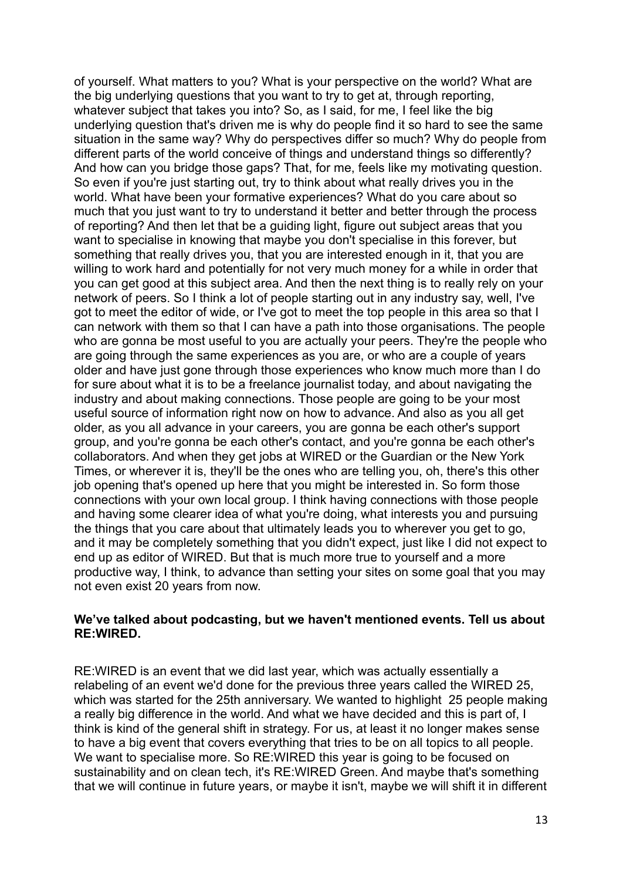of yourself. What matters to you? What is your perspective on the world? What are the big underlying questions that you want to try to get at, through reporting, whatever subject that takes you into? So, as I said, for me, I feel like the big underlying question that's driven me is why do people find it so hard to see the same situation in the same way? Why do perspectives differ so much? Why do people from different parts of the world conceive of things and understand things so differently? And how can you bridge those gaps? That, for me, feels like my motivating question. So even if you're just starting out, try to think about what really drives you in the world. What have been your formative experiences? What do you care about so much that you just want to try to understand it better and better through the process of reporting? And then let that be a guiding light, figure out subject areas that you want to specialise in knowing that maybe you don't specialise in this forever, but something that really drives you, that you are interested enough in it, that you are willing to work hard and potentially for not very much money for a while in order that you can get good at this subject area. And then the next thing is to really rely on your network of peers. So I think a lot of people starting out in any industry say, well, I've got to meet the editor of wide, or I've got to meet the top people in this area so that I can network with them so that I can have a path into those organisations. The people who are gonna be most useful to you are actually your peers. They're the people who are going through the same experiences as you are, or who are a couple of years older and have just gone through those experiences who know much more than I do for sure about what it is to be a freelance journalist today, and about navigating the industry and about making connections. Those people are going to be your most useful source of information right now on how to advance. And also as you all get older, as you all advance in your careers, you are gonna be each other's support group, and you're gonna be each other's contact, and you're gonna be each other's collaborators. And when they get jobs at WIRED or the Guardian or the New York Times, or wherever it is, they'll be the ones who are telling you, oh, there's this other job opening that's opened up here that you might be interested in. So form those connections with your own local group. I think having connections with those people and having some clearer idea of what you're doing, what interests you and pursuing the things that you care about that ultimately leads you to wherever you get to go, and it may be completely something that you didn't expect, just like I did not expect to end up as editor of WIRED. But that is much more true to yourself and a more productive way, I think, to advance than setting your sites on some goal that you may not even exist 20 years from now.

#### **We've talked about podcasting, but we haven't mentioned events. Tell us about RE:WIRED.**

RE:WIRED is an event that we did last year, which was actually essentially a relabeling of an event we'd done for the previous three years called the WIRED 25, which was started for the 25th anniversary. We wanted to highlight 25 people making a really big difference in the world. And what we have decided and this is part of, I think is kind of the general shift in strategy. For us, at least it no longer makes sense to have a big event that covers everything that tries to be on all topics to all people. We want to specialise more. So RE:WIRED this year is going to be focused on sustainability and on clean tech, it's RE:WIRED Green. And maybe that's something that we will continue in future years, or maybe it isn't, maybe we will shift it in different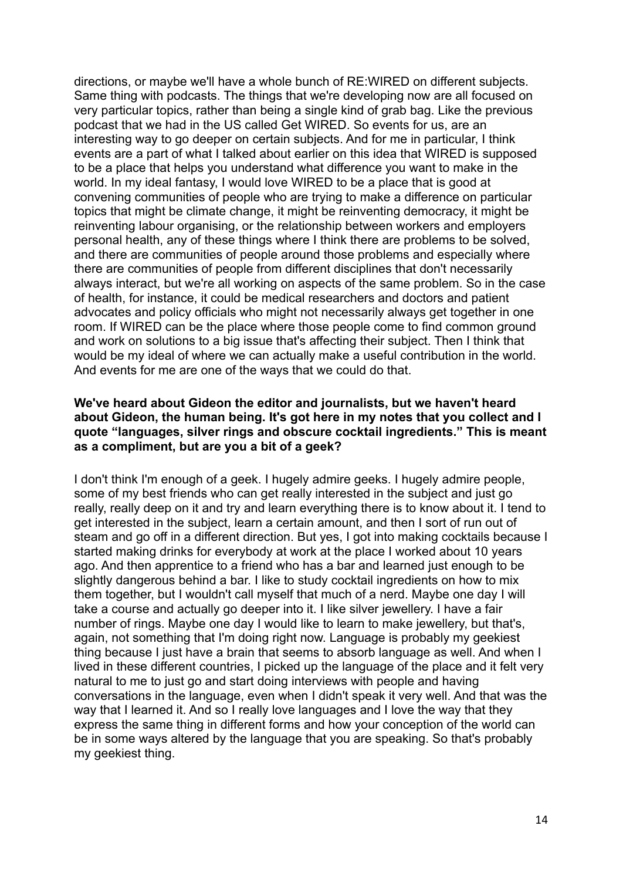directions, or maybe we'll have a whole bunch of RE:WIRED on different subjects. Same thing with podcasts. The things that we're developing now are all focused on very particular topics, rather than being a single kind of grab bag. Like the previous podcast that we had in the US called Get WIRED. So events for us, are an interesting way to go deeper on certain subjects. And for me in particular, I think events are a part of what I talked about earlier on this idea that WIRED is supposed to be a place that helps you understand what difference you want to make in the world. In my ideal fantasy, I would love WIRED to be a place that is good at convening communities of people who are trying to make a difference on particular topics that might be climate change, it might be reinventing democracy, it might be reinventing labour organising, or the relationship between workers and employers personal health, any of these things where I think there are problems to be solved, and there are communities of people around those problems and especially where there are communities of people from different disciplines that don't necessarily always interact, but we're all working on aspects of the same problem. So in the case of health, for instance, it could be medical researchers and doctors and patient advocates and policy officials who might not necessarily always get together in one room. If WIRED can be the place where those people come to find common ground and work on solutions to a big issue that's affecting their subject. Then I think that would be my ideal of where we can actually make a useful contribution in the world. And events for me are one of the ways that we could do that.

### **We've heard about Gideon the editor and journalists, but we haven't heard about Gideon, the human being. It's got here in my notes that you collect and I quote "languages, silver rings and obscure cocktail ingredients." This is meant as a compliment, but are you a bit of a geek?**

I don't think I'm enough of a geek. I hugely admire geeks. I hugely admire people, some of my best friends who can get really interested in the subject and just go really, really deep on it and try and learn everything there is to know about it. I tend to get interested in the subject, learn a certain amount, and then I sort of run out of steam and go off in a different direction. But yes, I got into making cocktails because I started making drinks for everybody at work at the place I worked about 10 years ago. And then apprentice to a friend who has a bar and learned just enough to be slightly dangerous behind a bar. I like to study cocktail ingredients on how to mix them together, but I wouldn't call myself that much of a nerd. Maybe one day I will take a course and actually go deeper into it. I like silver jewellery. I have a fair number of rings. Maybe one day I would like to learn to make jewellery, but that's, again, not something that I'm doing right now. Language is probably my geekiest thing because I just have a brain that seems to absorb language as well. And when I lived in these different countries, I picked up the language of the place and it felt very natural to me to just go and start doing interviews with people and having conversations in the language, even when I didn't speak it very well. And that was the way that I learned it. And so I really love languages and I love the way that they express the same thing in different forms and how your conception of the world can be in some ways altered by the language that you are speaking. So that's probably my geekiest thing.